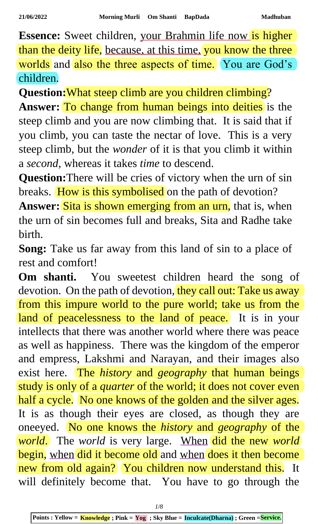**Essence:** Sweet children, your Brahmin life now is higher than the deity life, because, at this time, you know the three worlds and also the three aspects of time. You are God's children.

**Question:**What steep climb are you children climbing?

**Answer:** To change from human beings into deities is the steep climb and you are now climbing that. It is said that if you climb, you can taste the nectar of love. This is a very steep climb, but the *wonder* of it is that you climb it within a *second*, whereas it takes *time* to descend.

**Question:**There will be cries of victory when the urn of sin breaks. How is this symbolised on the path of devotion?

Answer: Sita is shown emerging from an urn, that is, when the urn of sin becomes full and breaks, Sita and Radhe take birth.

**Song:** Take us far away from this land of sin to a place of rest and comfort!

**Om shanti.** You sweetest children heard the song of devotion. On the path of devotion, they call out: Take us away from this impure world to the pure world; take us from the land of peacelessness to the land of peace. It is in your intellects that there was another world where there was peace as well as happiness. There was the kingdom of the emperor and empress, Lakshmi and Narayan, and their images also exist here. The *history* and *geography* that human beings study is only of a *quarter* of the world; it does not cover even half a cycle. No one knows of the golden and the silver ages. It is as though their eyes are closed, as though they are oneeyed. No one knows the *history* and *geography* of the *world*. The *world* is very large. When did the new *world* begin, when did it become old and when does it then become new from old again? You children now understand this. It will definitely become that. You have to go through the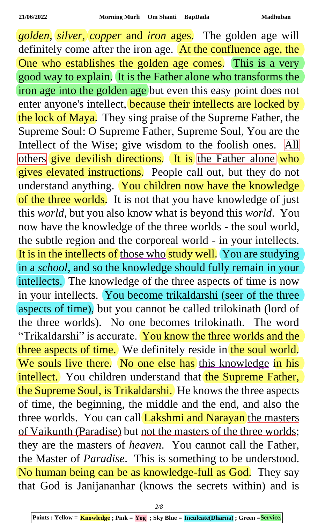*golden*, *silver*, *copper* and *iron* ages. The golden age will definitely come after the iron age. At the confluence age, the One who establishes the golden age comes. This is a very good way to explain. It is the Father alone who transforms the iron age into the golden age but even this easy point does not enter anyone's intellect, because their intellects are locked by the lock of Maya. They sing praise of the Supreme Father, the Supreme Soul: O Supreme Father, Supreme Soul, You are the Intellect of the Wise; give wisdom to the foolish ones. All others give devilish directions. It is the Father alone who gives elevated instructions. People call out, but they do not understand anything. You children now have the knowledge of the three worlds. It is not that you have knowledge of just this *world*, but you also know what is beyond this *world*. You now have the knowledge of the three worlds - the soul world, the subtle region and the corporeal world - in your intellects. It is in the intellects of those who study well. You are studying in a *school*, and so the knowledge should fully remain in your intellects. The knowledge of the three aspects of time is now in your intellects. You become trikaldarshi (seer of the three aspects of time), but you cannot be called trilokinath (lord of the three worlds). No one becomes trilokinath. The word "Trikaldarshi" is accurate. You know the three worlds and the three aspects of time. We definitely reside in the soul world. We souls live there. No one else has this knowledge in his intellect. You children understand that the Supreme Father, the Supreme Soul, is Trikaldarshi. He knows the three aspects of time, the beginning, the middle and the end, and also the three worlds. You can call Lakshmi and Narayan the masters of Vaikunth (Paradise) but not the masters of the three worlds; they are the masters of *heaven*. You cannot call the Father, the Master of *Paradise*. This is something to be understood. No human being can be as knowledge-full as God. They say that God is Janijananhar (knows the secrets within) and is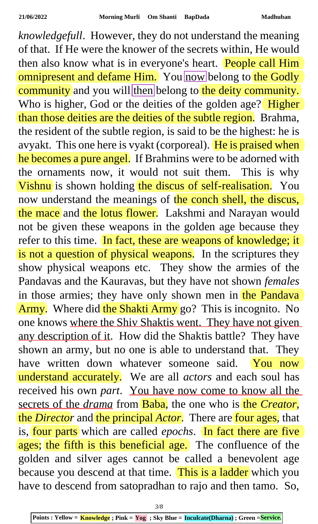*knowledgefull*. However, they do not understand the meaning of that. If He were the knower of the secrets within, He would then also know what is in everyone's heart. People call Him omnipresent and defame Him. You now belong to the Godly community and you will then belong to the deity community. Who is higher, God or the deities of the golden age? Higher than those deities are the deities of the subtle region. Brahma, the resident of the subtle region, is said to be the highest: he is avyakt. This one here is vyakt (corporeal). He is praised when he becomes a pure angel. If Brahmins were to be adorned with the ornaments now, it would not suit them. This is why Vishnu is shown holding the discus of self-realisation. You now understand the meanings of the conch shell, the discus, the mace and the lotus flower. Lakshmi and Narayan would not be given these weapons in the golden age because they refer to this time. In fact, these are weapons of knowledge; it is not a question of physical weapons. In the scriptures they show physical weapons etc. They show the armies of the Pandavas and the Kauravas, but they have not shown *females* in those armies; they have only shown men in the Pandava Army. Where did the Shakti Army go? This is incognito. No one knows where the Shiv Shaktis went. They have not given any description of it. How did the Shaktis battle? They have shown an army, but no one is able to understand that. They have written down whatever someone said. You now understand accurately. We are all *actors* and each soul has received his own *part*. You have now come to know all the secrets of the *drama* from **Baba**, the one who is the *Creator*, the *Director* and the principal *Actor*. There are four ages, that is, four parts which are called *epochs*. In fact there are five ages; the fifth is this beneficial age. The confluence of the golden and silver ages cannot be called a benevolent age because you descend at that time. This is a ladder which you have to descend from satopradhan to rajo and then tamo. So,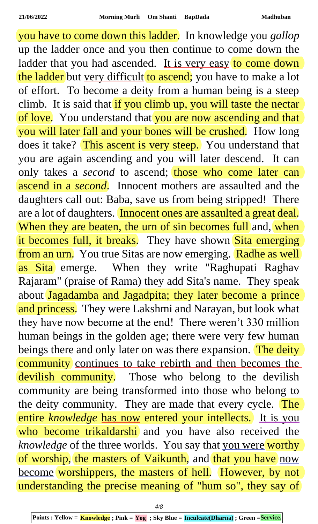you have to come down this ladder. In knowledge you *gallop* up the ladder once and you then continue to come down the ladder that you had ascended. It is very easy to come down the ladder but very difficult to ascend; you have to make a lot of effort. To become a deity from a human being is a steep climb. It is said that if you climb up, you will taste the nectar of love. You understand that you are now ascending and that you will later fall and your bones will be crushed. How long does it take? This ascent is very steep. You understand that you are again ascending and you will later descend. It can only takes a *second* to ascend; those who come later can ascend in a *second*. Innocent mothers are assaulted and the daughters call out: Baba, save us from being stripped! There are a lot of daughters. Innocent ones are assaulted a great deal. When they are beaten, the urn of sin becomes full and, when it becomes full, it breaks. They have shown Sita emerging from an urn. You true Sitas are now emerging. Radhe as well as Sita emerge. When they write "Raghupati Raghav Rajaram" (praise of Rama) they add Sita's name. They speak about Jagadamba and Jagadpita; they later become a prince and princess. They were Lakshmi and Narayan, but look what they have now become at the end! There weren't 330 million human beings in the golden age; there were very few human beings there and only later on was there expansion. The deity community continues to take rebirth and then becomes the devilish community. Those who belong to the devilish community are being transformed into those who belong to the deity community. They are made that every cycle. The entire *knowledge* has now entered your intellects. It is you who become trikaldarshi and you have also received the *knowledge* of the three worlds. You say that you were worthy of worship, the masters of Vaikunth, and that you have now become worshippers, the masters of hell. However, by not understanding the precise meaning of "hum so", they say of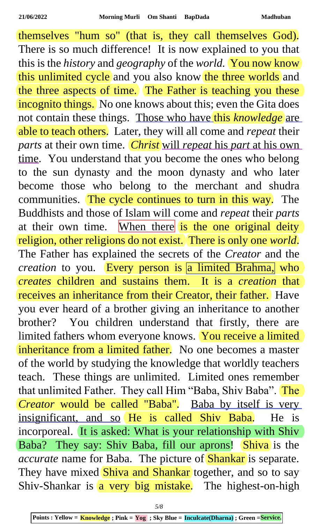themselves "hum so" (that is, they call themselves God). There is so much difference! It is now explained to you that this is the *history* and *geography* of the *world.* You now know this unlimited cycle and you also know the three worlds and the three aspects of time. The Father is teaching you these incognito things. No one knows about this; even the Gita does not contain these things. Those who have this *knowledge* are able to teach others. Later, they will all come and *repeat* their *parts* at their own time. *Christ* will *repeat* his *part* at his own time. You understand that you become the ones who belong to the sun dynasty and the moon dynasty and who later become those who belong to the merchant and shudra communities. The cycle continues to turn in this way. The Buddhists and those of Islam will come and *repeat* their *parts* at their own time. When there is the one original deity religion, other religions do not exist. There is only one *world*. The Father has explained the secrets of the *Creator* and the *creation* to you. Every person is a limited Brahma, who *creates* children and sustains them. It is a *creation* that receives an inheritance from their Creator, their father. Have you ever heard of a brother giving an inheritance to another brother? You children understand that firstly, there are limited fathers whom everyone knows. You receive a limited inheritance from a limited father. No one becomes a master of the world by studying the knowledge that worldly teachers teach. These things are unlimited. Limited ones remember that unlimited Father. They call Him "Baba, Shiv Baba". The *Creator* would be called "Baba". Baba by itself is very insignificant, and so He is called Shiv Baba. He is incorporeal. It is asked: What is your relationship with Shiv Baba? They say: Shiv Baba, fill our aprons! Shiva is the *accurate* name for Baba. The picture of Shankar is separate. They have mixed Shiva and Shankar together, and so to say Shiv-Shankar is  $\alpha$  very big mistake. The highest-on-high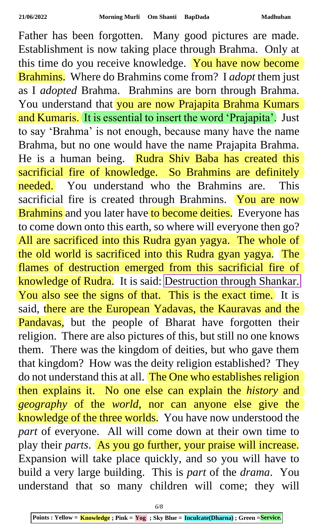Father has been forgotten. Many good pictures are made. Establishment is now taking place through Brahma. Only at this time do you receive knowledge. You have now become Brahmins. Where do Brahmins come from? I *adopt* them just as I *adopted* Brahma. Brahmins are born through Brahma. You understand that you are now Prajapita Brahma Kumars and Kumaris. It is essential to insert the word 'Prajapita'. Just to say 'Brahma' is not enough, because many have the name Brahma, but no one would have the name Prajapita Brahma. He is a human being. Rudra Shiv Baba has created this sacrificial fire of knowledge. So Brahmins are definitely needed. You understand who the Brahmins are. This sacrificial fire is created through Brahmins. You are now Brahmins and you later have to become deities. Everyone has to come down onto this earth, so where will everyone then go? All are sacrificed into this Rudra gyan yagya. The whole of the old world is sacrificed into this Rudra gyan yagya. The flames of destruction emerged from this sacrificial fire of knowledge of Rudra. It is said: Destruction through Shankar. You also see the signs of that. This is the exact time. It is said, there are the European Yadavas, the Kauravas and the Pandavas, but the people of Bharat have forgotten their religion. There are also pictures of this, but still no one knows them. There was the kingdom of deities, but who gave them that kingdom? How was the deity religion established? They do not understand this at all. The One who establishes religion then explains it. No one else can explain the *history* and *geography* of the *world*, nor can anyone else give the knowledge of the three worlds. You have now understood the *part* of everyone. All will come down at their own time to play their *parts*. As you go further, your praise will increase. Expansion will take place quickly, and so you will have to build a very large building. This is *part* of the *drama*. You understand that so many children will come; they will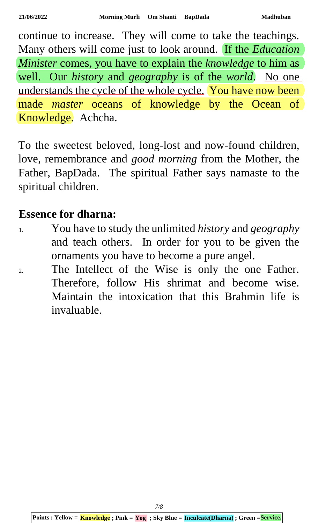continue to increase. They will come to take the teachings. Many others will come just to look around. If the *Education Minister* comes, you have to explain the *knowledge* to him as well. Our *history* and *geography* is of the *world*. No one understands the cycle of the whole cycle. You have now been made *master* oceans of knowledge by the Ocean of Knowledge. Achcha.

To the sweetest beloved, long-lost and now-found children, love, remembrance and *good morning* from the Mother, the Father, BapDada. The spiritual Father says namaste to the spiritual children.

## **Essence for dharna:**

- 1. You have to study the unlimited *history* and *geography* and teach others. In order for you to be given the ornaments you have to become a pure angel.
- 2. The Intellect of the Wise is only the one Father. Therefore, follow His shrimat and become wise. Maintain the intoxication that this Brahmin life is invaluable.